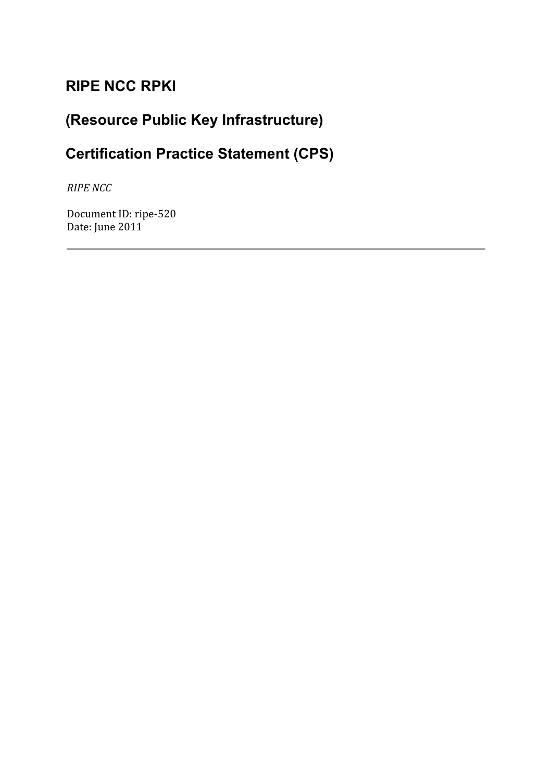# **RIPE NCC RPKI**

# **(Resource Public Key Infrastructure)**

# **Certification Practice Statement (CPS)**

*RIPE NCC*

Document ID: ripe-520 Date: June 2011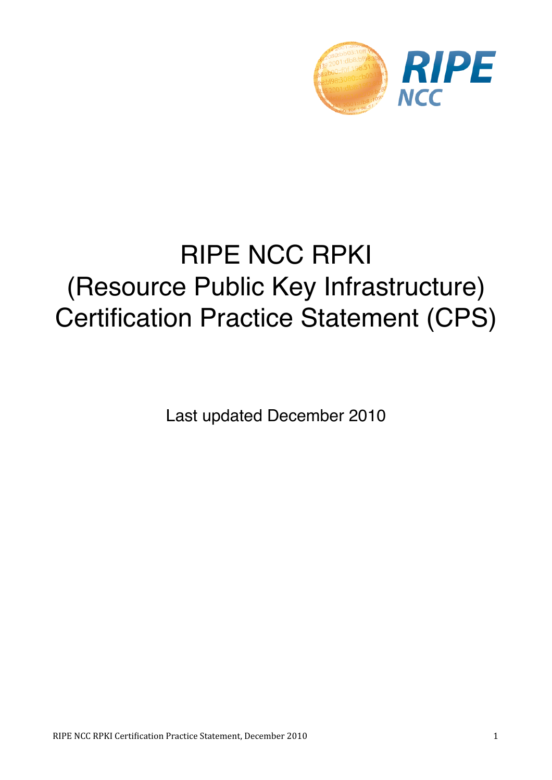

# RIPE NCC RPKI (Resource Public Key Infrastructure) Certification Practice Statement (CPS)

Last updated December 2010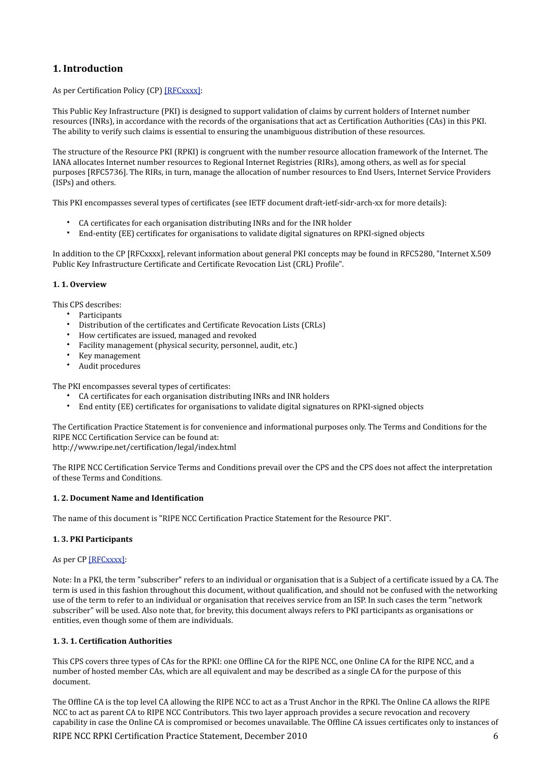# <span id="page-6-0"></span>**1.
Introduction**

# As per Certification Policy (CP) [RFCxxxx]:

This Public Key Infrastructure (PKI) is designed to support validation of claims by current holders of Internet number resources (INRs), in accordance with the records of the organisations that act as Certification Authorities (CAs) in this PKI. The ability to verify such claims is essential to ensuring the unambiguous distribution of these resources.

The structure of the Resource PKI (RPKI) is congruent with the number resource allocation framework of the Internet. The IANA
allocates
Internet
number
resources
to
Regional
Internet
Registries
(RIRs),
among
others,
as
well
as
for
special purposes [\[RFC5736\]](http://tools.ietf.org/html/rfc5736).
The
RIRs,
in
turn,
manage
the
allocation
of
number
resources
to
End
Users,
Internet
Service
Providers (ISPs)
and
others.

This PKI encompasses several types of certificates (see IETF document draft-ietf-sidr-arch-xx for more details):

- CA certificates for each organisation distributing INRs and for the INR holder
- End-entity (EE) certificates for organisations to validate digital signatures on RPKI-signed objects

In addition to the CP [RFCxxxx], relevant information about general PKI concepts may be found in RFC5280, "Internet X.509 Public Key Infrastructure Certificate and Certificate Revocation List (CRL) Profile".

# <span id="page-6-1"></span>**1.
1.
Overview**

This
CPS
describes:

- Participants
- Distribution of the certificates and Certificate Revocation Lists (CRLs)
- How certificates are issued, managed and revoked
- Facility
management
(physical
security,
personnel,
audit,
etc.)
- Key
management
- Audit
procedures

The PKI encompasses several types of certificates:

- CA certificates for each organisation distributing INRs and INR holders
- End entity (EE) certificates for organisations to validate digital signatures on RPKI-signed objects

The Certification Practice Statement is for convenience and informational purposes only. The Terms and Conditions for the RIPE NCC Certification Service can be found at: http://www.ripe.net/certification/legal/index.html

The RIPE NCC Certification Service Terms and Conditions prevail over the CPS and the CPS does not affect the interpretation of
these
Terms
and
Conditions.

# <span id="page-6-2"></span>1.2. Document Name and Identification

The name of this document is "RIPE NCC Certification Practice Statement for the Resource PKI".

# <span id="page-6-3"></span>**1.
3.
PKI
Participants**

As per CP [RFCxxxx]:

Note: In a PKI, the term "subscriber" refers to an individual or organisation that is a Subject of a certificate issued by a CA. The term is used in this fashion throughout this document, without qualification, and should not be confused with the networking use of the term to refer to an individual or organisation that receives service from an ISP. In such cases the term "network subscriber" will be used. Also note that, for brevity, this document always refers to PKI participants as organisations or entities,
even
though
some
of
them
are
individuals.

# <span id="page-6-4"></span>1.3.1. Certification Authorities

This CPS covers three types of CAs for the RPKI: one Offline CA for the RIPE NCC, one Online CA for the RIPE NCC, and a number of hosted member CAs, which are all equivalent and may be described as a single CA for the purpose of this document.

The Offline CA is the top level CA allowing the RIPE NCC to act as a Trust Anchor in the RPKI. The Online CA allows the RIPE NCC to act as parent CA to RIPE NCC Contributors. This two layer approach provides a secure revocation and recovery capability in case the Online CA is compromised or becomes unavailable. The Offline CA issues certificates only to instances of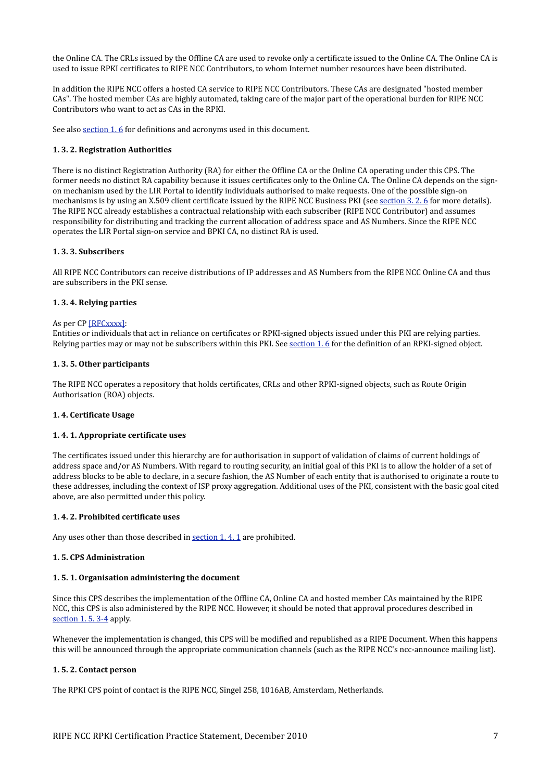the Online CA. The CRLs issued by the Offline CA are used to revoke only a certificate issued to the Online CA. The Online CA is used to issue RPKI certificates to RIPE NCC Contributors, to whom Internet number resources have been distributed.

In addition the RIPE NCC offers a hosted CA service to RIPE NCC Contributors. These CAs are designated "hosted member CAs". The hosted member CAs are highly automated, taking care of the major part of the operational burden for RIPE NCC Contributors
who
want
to
act
as
CAs
in
the
RPKI.

See also section 1.6 for definitions and acronyms used in this document.

# <span id="page-7-0"></span>**1.
3.
2.
Registration
Authorities**

There is no distinct Registration Authority (RA) for either the Offline CA or the Online CA operating under this CPS. The former needs no distinct RA capability because it issues certificates only to the Online CA. The Online CA depends on the signon mechanism used by the LIR Portal to identify individuals authorised to make requests. One of the possible sign-on mechanisms is by using an X.509 client certificate issued by the RIPE NCC Business PKI (see section 3.2.6 for more details). The RIPE NCC already establishes a contractual relationship with each subscriber (RIPE NCC Contributor) and assumes responsibility for distributing and tracking the current allocation of address space and AS Numbers. Since the RIPE NCC operates the LIR Portal sign-on service and BPKI CA, no distinct RA is used.

# <span id="page-7-1"></span>**1.
3.
3.
Subscribers**

All RIPE NCC Contributors can receive distributions of IP addresses and AS Numbers from the RIPE NCC Online CA and thus are
subscribers
in
the
PKI
sense.

# <span id="page-7-2"></span>**1.
3.
4.
Relying
parties**

# As
per
CP[\[RFCxxxx\]:](#page-31-1)

Entities or individuals that act in reliance on certificates or RPKI-signed objects issued under this PKI are relying parties. Relying parties may or may not be subscribers within this PKI. See section 1, 6 for the definition of an RPKI-signed object.

# <span id="page-7-3"></span>**1.
3.
5.
Other
participants**

The RIPE NCC operates a repository that holds certificates. CRLs and other RPKI-signed objects, such as Route Origin Authorisation
(ROA)
objects.

# <span id="page-7-4"></span>1.4. Certificate Usage

# <span id="page-7-5"></span>1. 4. 1. Appropriate certificate uses

The certificates issued under this hierarchy are for authorisation in support of validation of claims of current holdings of address space and/or AS Numbers. With regard to routing security, an initial goal of this PKI is to allow the holder of a set of address blocks to be able to declare, in a secure fashion, the AS Number of each entity that is authorised to originate a route to these addresses, including the context of ISP proxy aggregation. Additional uses of the PKI, consistent with the basic goal cited above,
are
also
permitted
under
this
policy.

# <span id="page-7-6"></span>1.4.2. Prohibited certificate uses

Any uses other than those described in section 1.4.1 are prohibited.

# <span id="page-7-7"></span>**1.
5.
CPS
Administration**

# <span id="page-7-8"></span>**1.
5.
1.
Organisation
administering
the
document**

Since this CPS describes the implementation of the Offline CA, Online CA and hosted member CAs maintained by the RIPE NCC, this CPS is also administered by the RIPE NCC. However, it should be noted that approval procedures described in [section
1.
5.
3‐4](#page-8-0) apply.

Whenever the implementation is changed, this CPS will be modified and republished as a RIPE Document. When this happens this will be announced through the appropriate communication channels (such as the RIPE NCC's ncc-announce mailing list).

# <span id="page-7-9"></span>**1.
5.
2.
Contact
person**

The RPKI CPS point of contact is the RIPE NCC, Singel 258, 1016AB, Amsterdam, Netherlands.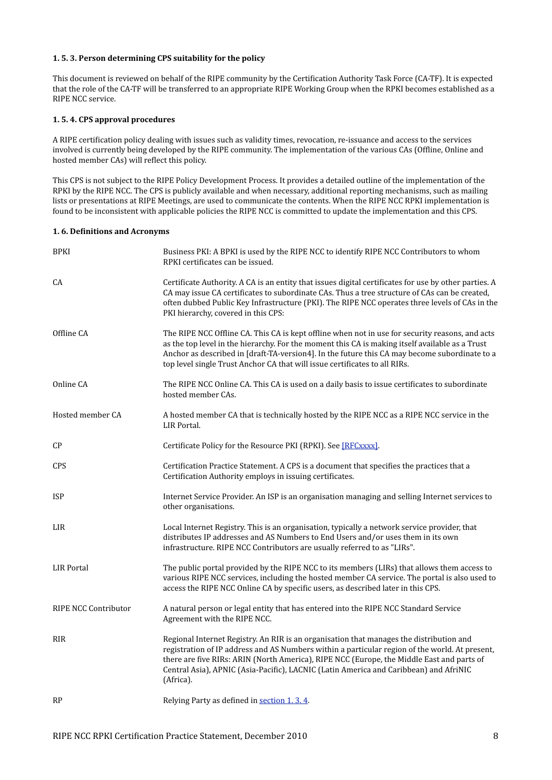# <span id="page-8-0"></span>**1.
5.
3.
Person
determining
CPS
suitability
for
the
policy**

This document is reviewed on behalf of the RIPE community by the Certification Authority Task Force (CA-TF). It is expected that the role of the CA-TF will be transferred to an appropriate RIPE Working Group when the RPKI becomes established as a RIPE
NCC
service.

# <span id="page-8-1"></span>**1.
5.
4.
CPS
approval
procedures**

A RIPE certification policy dealing with issues such as validity times, revocation, re-issuance and access to the services involved is currently being developed by the RIPE community. The implementation of the various CAs (Offline, Online and hosted member CAs) will reflect this policy.

This CPS is not subject to the RIPE Policy Development Process. It provides a detailed outline of the implementation of the RPKI by the RIPE NCC. The CPS is publicly available and when necessary, additional reporting mechanisms, such as mailing lists or presentations at RIPE Meetings, are used to communicate the contents. When the RIPE NCC RPKI implementation is found to be inconsistent with applicable policies the RIPE NCC is committed to update the implementation and this CPS.

# <span id="page-8-2"></span>1.6. Definitions and Acronyms

| <b>BPKI</b>                 | Business PKI: A BPKI is used by the RIPE NCC to identify RIPE NCC Contributors to whom<br>RPKI certificates can be issued.                                                                                                                                                                                                                                                                   |
|-----------------------------|----------------------------------------------------------------------------------------------------------------------------------------------------------------------------------------------------------------------------------------------------------------------------------------------------------------------------------------------------------------------------------------------|
| CA                          | Certificate Authority. A CA is an entity that issues digital certificates for use by other parties. A<br>CA may issue CA certificates to subordinate CAs. Thus a tree structure of CAs can be created,<br>often dubbed Public Key Infrastructure (PKI). The RIPE NCC operates three levels of CAs in the<br>PKI hierarchy, covered in this CPS:                                              |
| Offline CA                  | The RIPE NCC Offline CA. This CA is kept offline when not in use for security reasons, and acts<br>as the top level in the hierarchy. For the moment this CA is making itself available as a Trust<br>Anchor as described in [draft-TA-version4]. In the future this CA may become subordinate to a<br>top level single Trust Anchor CA that will issue certificates to all RIRs.            |
| Online CA                   | The RIPE NCC Online CA. This CA is used on a daily basis to issue certificates to subordinate<br>hosted member CAs.                                                                                                                                                                                                                                                                          |
| Hosted member CA            | A hosted member CA that is technically hosted by the RIPE NCC as a RIPE NCC service in the<br>LIR Portal.                                                                                                                                                                                                                                                                                    |
| <b>CP</b>                   | Certificate Policy for the Resource PKI (RPKI). See [RFCxxxx].                                                                                                                                                                                                                                                                                                                               |
| <b>CPS</b>                  | Certification Practice Statement. A CPS is a document that specifies the practices that a<br>Certification Authority employs in issuing certificates.                                                                                                                                                                                                                                        |
| <b>ISP</b>                  | Internet Service Provider. An ISP is an organisation managing and selling Internet services to<br>other organisations.                                                                                                                                                                                                                                                                       |
| LIR                         | Local Internet Registry. This is an organisation, typically a network service provider, that<br>distributes IP addresses and AS Numbers to End Users and/or uses them in its own<br>infrastructure. RIPE NCC Contributors are usually referred to as "LIRs".                                                                                                                                 |
| <b>LIR Portal</b>           | The public portal provided by the RIPE NCC to its members (LIRs) that allows them access to<br>various RIPE NCC services, including the hosted member CA service. The portal is also used to<br>access the RIPE NCC Online CA by specific users, as described later in this CPS.                                                                                                             |
| <b>RIPE NCC Contributor</b> | A natural person or legal entity that has entered into the RIPE NCC Standard Service<br>Agreement with the RIPE NCC.                                                                                                                                                                                                                                                                         |
| <b>RIR</b>                  | Regional Internet Registry. An RIR is an organisation that manages the distribution and<br>registration of IP address and AS Numbers within a particular region of the world. At present,<br>there are five RIRs: ARIN (North America), RIPE NCC (Europe, the Middle East and parts of<br>Central Asia), APNIC (Asia-Pacific), LACNIC (Latin America and Caribbean) and AfriNIC<br>(Africa). |
| <b>RP</b>                   | Relying Party as defined in section 1.3.4.                                                                                                                                                                                                                                                                                                                                                   |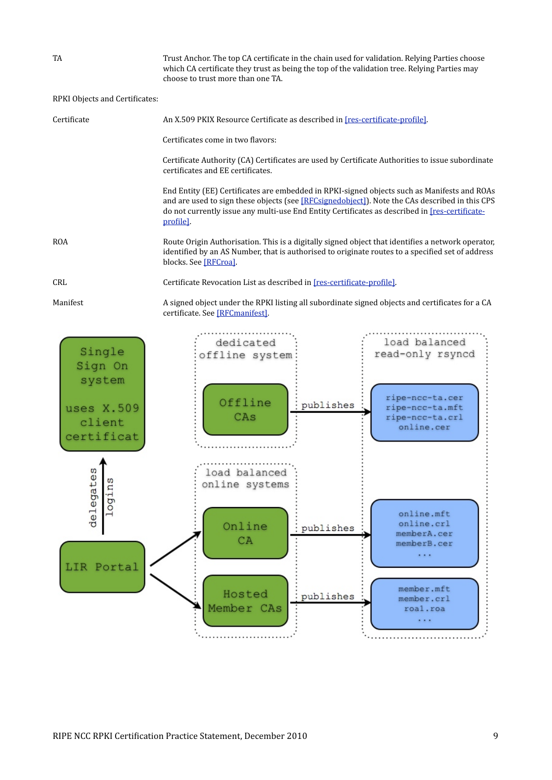The top CA certificate in the chain used for validation. Relying Parties choose which CA certificate they trust as being the top of the validation tree. Relying Parties may choose
to
trust
more
than
one
TA.

RPKI Objects and Certificates:

| Certificate | An X.509 PKIX Resource Certificate as described in [res-certificate-profile].                                                                                                                                                                                                                                |
|-------------|--------------------------------------------------------------------------------------------------------------------------------------------------------------------------------------------------------------------------------------------------------------------------------------------------------------|
|             | Certificates come in two flavors:                                                                                                                                                                                                                                                                            |
|             | Certificate Authority (CA) Certificates are used by Certificate Authorities to issue subordinate<br>certificates and EE certificates.                                                                                                                                                                        |
|             | End Entity (EE) Certificates are embedded in RPKI-signed objects such as Manifests and ROAs<br>and are used to sign these objects (see [RFCsignedobject]). Note the CAs described in this CPS<br>do not currently issue any multi-use End Entity Certificates as described in [res-certificate-<br>profile]. |
| <b>ROA</b>  | Route Origin Authorisation. This is a digitally signed object that identifies a network operator,<br>identified by an AS Number, that is authorised to originate routes to a specified set of address<br>blocks. See [RFCroa].                                                                               |
| <b>CRL</b>  | Certificate Revocation List as described in [res-certificate-profile].                                                                                                                                                                                                                                       |
| $M$ anifast | A gianod object under the DDVI listing all suberdinate signed objects and contificates for a CA                                                                                                                                                                                                              |

Manifest Manifest and certificates for a CA signed object under the RPKI listing all subordinate signed objects and certificates for a CA certificate. See [RFCmanifest].

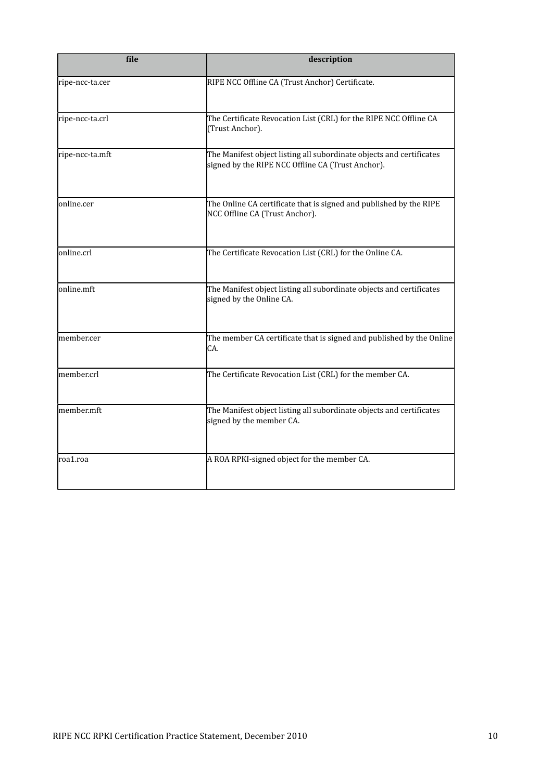| file            | description                                                                                                               |
|-----------------|---------------------------------------------------------------------------------------------------------------------------|
| ripe-ncc-ta.cer | RIPE NCC Offline CA (Trust Anchor) Certificate.                                                                           |
| ripe-ncc-ta.crl | The Certificate Revocation List (CRL) for the RIPE NCC Offline CA<br>(Trust Anchor).                                      |
| ripe-ncc-ta.mft | The Manifest object listing all subordinate objects and certificates<br>signed by the RIPE NCC Offline CA (Trust Anchor). |
| lonline.cer     | The Online CA certificate that is signed and published by the RIPE<br>NCC Offline CA (Trust Anchor).                      |
| online.crl      | The Certificate Revocation List (CRL) for the Online CA.                                                                  |
| online.mft      | The Manifest object listing all subordinate objects and certificates<br>signed by the Online CA.                          |
| member.cer      | The member CA certificate that is signed and published by the Online<br>CA.                                               |
| member.crl      | The Certificate Revocation List (CRL) for the member CA.                                                                  |
| member.mft      | The Manifest object listing all subordinate objects and certificates<br>signed by the member CA.                          |
| roa1.roa        | A ROA RPKI-signed object for the member CA.                                                                               |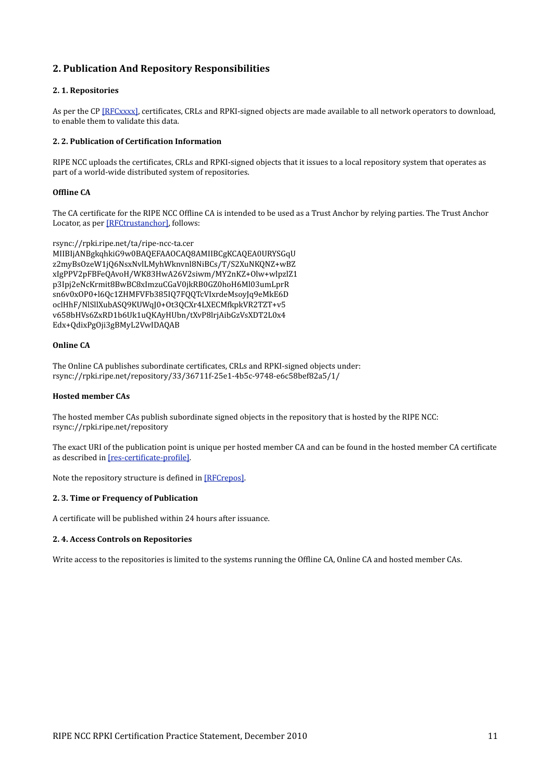# <span id="page-11-0"></span>**2.
Publication
And
Repository
Responsibilities**

# <span id="page-11-1"></span>**2.
1.
Repositories**

As per the CP [\[RFCxxxx\],](#page-31-1) certificates, CRLs and RPKI-signed objects are made available to all network operators to download, to
enable
them
to
validate
this
data.

# <span id="page-11-2"></span>2. 2. Publication of Certification Information

RIPE NCC uploads the certificates. CRLs and RPKI-signed objects that it issues to a local repository system that operates as part of a world-wide distributed system of repositories.

# **Offline CA**

The CA certificate for the RIPE NCC Offline CA is intended to be used as a Trust Anchor by relying parties. The Trust Anchor Locator, as per [RFCtrustanchor], follows:

rsync://rpki.ripe.net/ta/ripe‐ncc‐ta.cer MIIBIjANBgkqhkiG9w0BAQEFAAOCAQ8AMIIBCgKCAQEA0URYSGqU z2myBsOzeW1jQ6NsxNvlLMyhWknvnl8NiBCs/T/S2XuNKQNZ+wBZ xIgPPV2pFBFeQAvoH/WK83HwA26V2siwm/MY2nKZ+Olw+wlpzlZ1 p3Ipj2eNcKrmit8BwBC8xImzuCGaV0jkRB0GZ0hoH6Ml03umLprR sn6v0xOP0+l6Qc1ZHMFVFb385IQ7FQQTcVIxrdeMsoyJq9eMkE6D oclHhF/NlSllXubASQ9KUWqI0+Ot3QCXr4LXECMfkpkVR2TZT+v5 v658bHVs6ZxRD1b6Uk1uQKAyHUbn/tXvP8lrjAibGzVsXDT2L0x4 Edx+QdixPgOji3gBMyL2VwIDAQAB

# **Online
CA**

The Online CA publishes subordinate certificates, CRLs and RPKI-signed objects under: rsync://rpki.ripe.net/repository/33/36711f‐25e1‐4b5c‐9748‐e6c58bef82a5/1/

# **Hosted
member
CAs**

The hosted member CAs publish subordinate signed objects in the repository that is hosted by the RIPE NCC: rsync://rpki.ripe.net/repository

The exact URI of the publication point is unique per hosted member CA and can be found in the hosted member CA certificate as described in [res-certificate-profile].

Note the repository structure is defined in [\[RFCrepos\]](#page-31-7).

# <span id="page-11-3"></span>**2.
3.
Time
or
Frequency
of
Publication**

A certificate will be published within 24 hours after issuance.

# <span id="page-11-4"></span>**2.
4.
Access
Controls
on
Repositories**

Write access to the repositories is limited to the systems running the Offline CA, Online CA and hosted member CAs.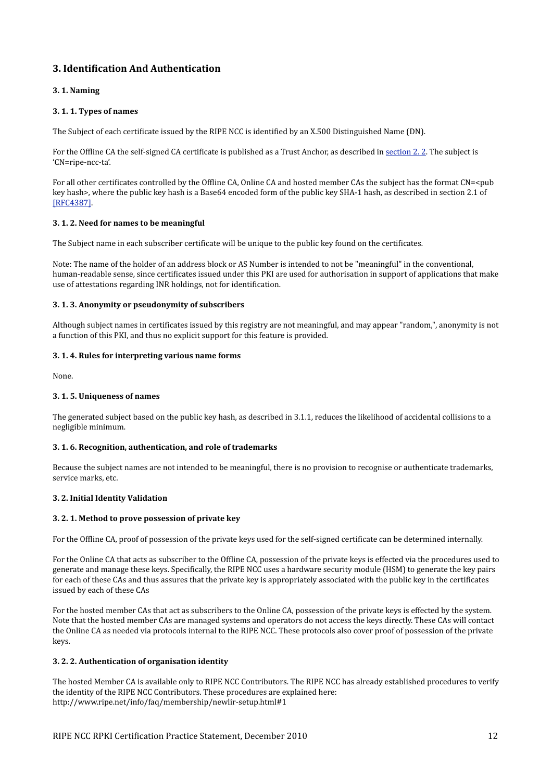# <span id="page-12-0"></span>**3.** Identification And Authentication

# <span id="page-12-1"></span>**3.
1.
Naming**

# <span id="page-12-2"></span>**3.
1.
1.
Types
of
names**

The Subject of each certificate issued by the RIPE NCC is identified by an X.500 Distinguished Name (DN).

For the Offline CA the self-signed CA certificate is published as a Trust Anchor, as described in section 2.2. The subject is 'CN=ripe‐ncc‐ta'.

For all other certificates controlled by the Offline CA, Online CA and hosted member CAs the subject has the format CN=<pub key hash>, where the public key hash is a Base64 encoded form of the public key SHA-1 hash, as described in section 2.1 of [\[RFC4387\]](#page-31-8).

# <span id="page-12-3"></span>**3.
1.
2.
Need
for
names
to
be
meaningful**

The Subject name in each subscriber certificate will be unique to the public key found on the certificates.

Note: The name of the holder of an address block or AS Number is intended to not be "meaningful" in the conventional, human-readable sense, since certificates issued under this PKI are used for authorisation in support of applications that make use of attestations regarding INR holdings, not for identification.

# <span id="page-12-4"></span>**3.
1.
3.
Anonymity
or
pseudonymity
of
subscribers**

Although subject names in certificates issued by this registry are not meaningful, and may appear "random,", anonymity is not a function of this PKI, and thus no explicit support for this feature is provided.

# <span id="page-12-5"></span>**3.
1.
4.
Rules
for
interpreting
various
name
forms**

None.

# <span id="page-12-6"></span>**3.
1.
5.
Uniqueness
of
names**

The generated subject based on the public key hash, as described in 3.1.1, reduces the likelihood of accidental collisions to a negligible
minimum.

# <span id="page-12-7"></span>**3.
1.
6.
Recognition,
authentication,
and
role
of
trademarks**

Because the subject names are not intended to be meaningful, there is no provision to recognise or authenticate trademarks, service
marks,
etc.

# <span id="page-12-8"></span>**3.
2.
Initial
Identity
Validation**

# <span id="page-12-9"></span>**3.
2.
1.
Method
to
prove
possession
of
private
key**

For the Offline CA, proof of possession of the private keys used for the self-signed certificate can be determined internally.

For the Online CA that acts as subscriber to the Offline CA, possession of the private keys is effected via the procedures used to generate and manage these keys. Specifically, the RIPE NCC uses a hardware security module (HSM) to generate the key pairs for each of these CAs and thus assures that the private key is appropriately associated with the public key in the certificates issued
by
each
of
these
CAs

For the hosted member CAs that act as subscribers to the Online CA, possession of the private keys is effected by the system. Note that the hosted member CAs are managed systems and operators do not access the keys directly. These CAs will contact the Online CA as needed via protocols internal to the RIPE NCC. These protocols also cover proof of possession of the private keys.

# <span id="page-12-10"></span>**3.
2.
2.
Authentication
of
organisation
identity**

The hosted Member CA is available only to RIPE NCC Contributors. The RIPE NCC has already established procedures to verify the
identity
of
the
RIPE
NCC
Contributors.
These
procedures
are
explained
here: http://www.ripe.net/info/faq/membership/newlir‐setup.html#1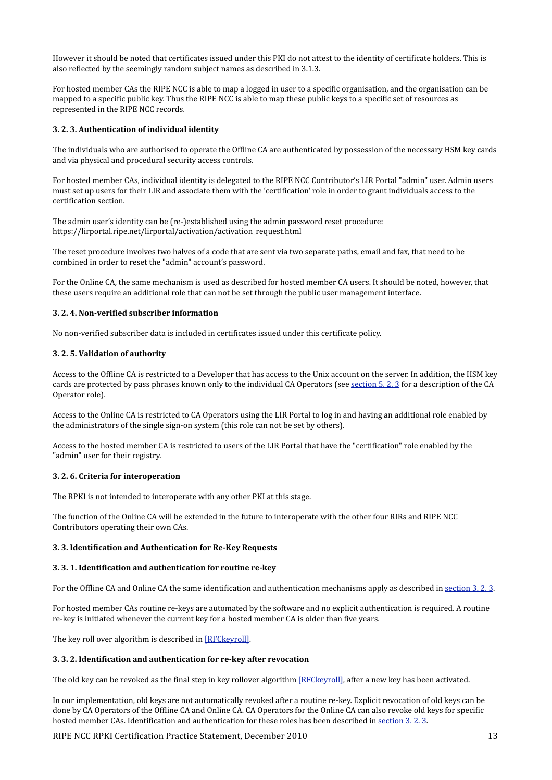However it should be noted that certificates issued under this PKI do not attest to the identity of certificate holders. This is also reflected by the seemingly random subject names as described in 3.1.3.

For hosted member CAs the RIPE NCC is able to map a logged in user to a specific organisation, and the organisation can be mapped to a specific public key. Thus the RIPE NCC is able to map these public keys to a specific set of resources as represented
in
the
RIPE
NCC
records.

# <span id="page-13-0"></span>**3.
2.
3.
Authentication
of
individual
identity**

The individuals who are authorised to operate the Offline CA are authenticated by possession of the necessary HSM key cards and
via
physical
and
procedural
security
access
controls.

For hosted member CAs, individual identity is delegated to the RIPE NCC Contributor's LIR Portal "admin" user. Admin users must set up users for their LIR and associate them with the 'certification' role in order to grant individuals access to the certification section.

The admin user's identity can be (re-)established using the admin password reset procedure: https://lirportal.ripe.net/lirportal/activation/activation\_request.html

The reset procedure involves two halves of a code that are sent via two separate paths, email and fax, that need to be combined
in
order
to
reset
the
"admin"
account's
password.

For the Online CA, the same mechanism is used as described for hosted member CA users. It should be noted, however, that these users require an additional role that can not be set through the public user management interface.

# <span id="page-13-1"></span>3. 2. 4. Non-verified subscriber information

No non-verified subscriber data is included in certificates issued under this certificate policy.

# <span id="page-13-2"></span>**3.
2.
5.
Validation
of
authority**

Access to the Offline CA is restricted to a Developer that has access to the Unix account on the server. In addition, the HSM key cards are protected by pass phrases known only to the individual CA Operators (see section 5.2.3 for a description of the CA Operator
role).

Access to the Online CA is restricted to CA Operators using the LIR Portal to log in and having an additional role enabled by the administrators of the single sign-on system (this role can not be set by others).

Access to the hosted member CA is restricted to users of the LIR Portal that have the "certification" role enabled by the "admin"
user
for
their
registry.

# <span id="page-13-3"></span>**3.
2.
6.
Criteria
for
interoperation**

The RPKI is not intended to interoperate with any other PKI at this stage.

The function of the Online CA will be extended in the future to interoperate with the other four RIRs and RIPE NCC Contributors
operating
their
own
CAs.

# <span id="page-13-4"></span>3. 3. Identification and Authentication for Re-Key Requests

# <span id="page-13-5"></span>3. 3. 1. Identification and authentication for routine re-key

For the Offline CA and Online CA the same identification and authentication mechanisms apply as described in section 3. 2. 3.

For hosted member CAs routine re-keys are automated by the software and no explicit authentication is required. A routine re-key is initiated whenever the current key for a hosted member CA is older than five years.

The key roll over algorithm is described in [RFCkeyroll].

# <span id="page-13-6"></span>**3. 3. 2. Identification and authentication for re-key after revocation**

The old key can be revoked as the final step in key rollover algorithm [RFCkeyroll], after a new key has been activated.

In our implementation, old keys are not automatically revoked after a routine re-key. Explicit revocation of old keys can be done by CA Operators of the Offline CA and Online CA. CA Operators for the Online CA can also revoke old keys for specific hosted member CAs. Identification and authentication for these roles has been described in section 3.2.3.

RIPE NCC RPKI Certification Practice Statement, December 2010 13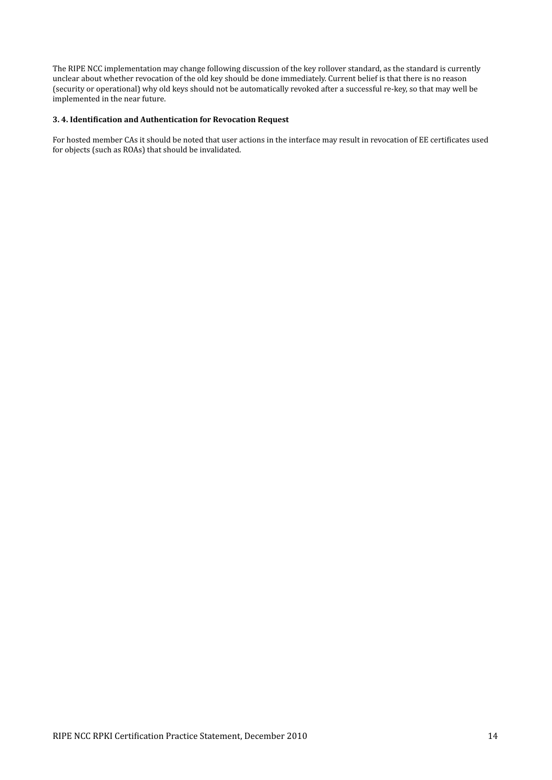The RIPE NCC implementation may change following discussion of the key rollover standard, as the standard is currently unclear about whether revocation of the old key should be done immediately. Current belief is that there is no reason (security
or
operational)
why
old
keys
should
not
be
automatically
revoked
after
a
successful
re‐key,
so
that
may
well
be implemented
in
the
near
future.

# <span id="page-14-0"></span>3.4. Identification and Authentication for Revocation Request

For hosted member CAs it should be noted that user actions in the interface may result in revocation of EE certificates used for objects (such as ROAs) that should be invalidated.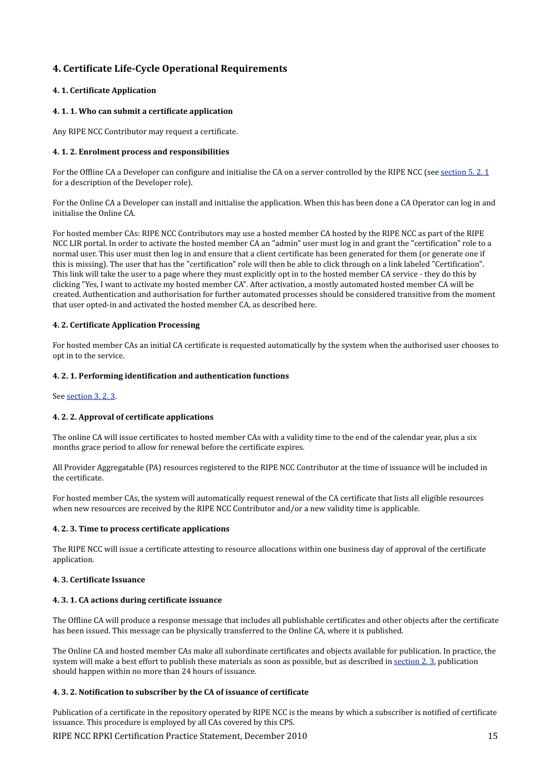# <span id="page-15-0"></span>4. Certificate Life-Cycle Operational Requirements

# <span id="page-15-1"></span>**4. 1. Certificate Application**

# <span id="page-15-2"></span>4. 1. 1. Who can submit a certificate application

Any RIPE NCC Contributor may request a certificate.

# <span id="page-15-3"></span>**4.
1.
2.
Enrolment
process
and
responsibilities**

For the Offline CA a Developer can configure and initialise the CA on a server controlled by the RIPE NCC (see section 5.2.1) for
a
description
of
the
Developer
role).

For the Online CA a Developer can install and initialise the application. When this has been done a CA Operator can log in and initialise
the
Online
CA.

For hosted member CAs: RIPE NCC Contributors may use a hosted member CA hosted by the RIPE NCC as part of the RIPE NCC LIR portal. In order to activate the hosted member CA an "admin" user must log in and grant the "certification" role to a normal user. This user must then log in and ensure that a client certificate has been generated for them (or generate one if this is missing). The user that has the "certification" role will then be able to click through on a link labeled "Certification". This link will take the user to a page where they must explicitly opt in to the hosted member CA service - they do this by clicking "Yes, I want to activate my hosted member CA". After activation, a mostly automated hosted member CA will be created.
Authentication
and
authorisation
for
further
automated
processes
should
be
considered
transitive
from
the
moment that
user
opted‐in
and
activated
the
hosted
member
CA,
as
described
here.

# <span id="page-15-4"></span>**4. 2. Certificate Application Processing**

For hosted member CAs an initial CA certificate is requested automatically by the system when the authorised user chooses to opt
in
to
the
service.

# <span id="page-15-5"></span>4. 2. 1. Performing identification and authentication functions

See section 3.2.3.

# <span id="page-15-6"></span>4. 2. 2. Approval of certificate applications

The online CA will issue certificates to hosted member CAs with a validity time to the end of the calendar year, plus a six months grace period to allow for renewal before the certificate expires.

All Provider Aggregatable (PA) resources registered to the RIPE NCC Contributor at the time of issuance will be included in the certificate.

For hosted member CAs, the system will automatically request renewal of the CA certificate that lists all eligible resources when new resources are received by the RIPE NCC Contributor and/or a new validity time is applicable.

# <span id="page-15-7"></span>4. 2. 3. Time to process certificate applications

The RIPE NCC will issue a certificate attesting to resource allocations within one business day of approval of the certificate application.

# <span id="page-15-8"></span>**4.3. Certificate Issuance**

# <span id="page-15-9"></span>4. 3. 1. CA actions during certificate issuance

The Offline CA will produce a response message that includes all publishable certificates and other objects after the certificate has been issued. This message can be physically transferred to the Online CA, where it is published.

The Online CA and hosted member CAs make all subordinate certificates and objects available for publication. In practice, the system will make a best effort to publish these materials as soon as possible, but as described in section 2. 3, publication should
happen
within
no
more
than
24
hours
of
issuance.

# <span id="page-15-10"></span>4. 3. 2. Notification to subscriber by the CA of issuance of certificate

Publication of a certificate in the repository operated by RIPE NCC is the means by which a subscriber is notified of certificate issuance.
This
procedure
is
employed
by
all
CAs
covered
by
this
CPS.

RIPE NCC RPKI Certification Practice Statement, December 2010 15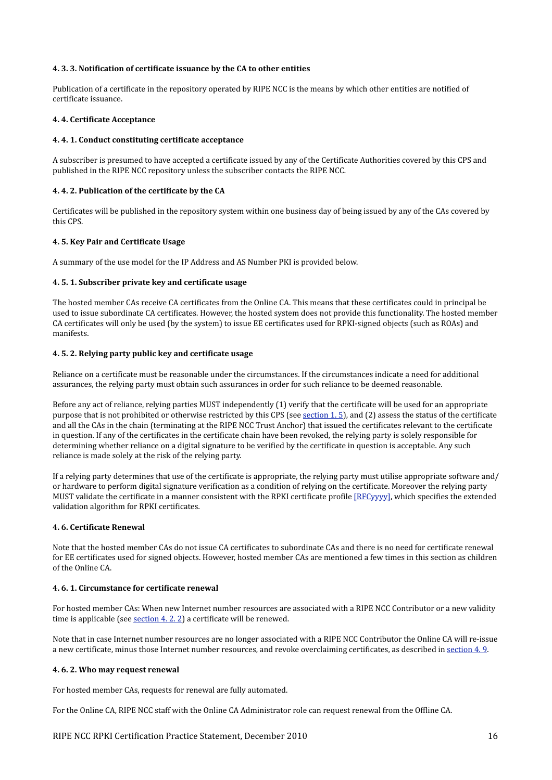# <span id="page-16-0"></span>4. 3. 3. Notification of certificate issuance by the CA to other entities

Publication of a certificate in the repository operated by RIPE NCC is the means by which other entities are notified of certificate issuance.

# <span id="page-16-1"></span>**4.4. Certificate Acceptance**

#### <span id="page-16-2"></span>4.4.1. Conduct constituting certificate acceptance

A subscriber is presumed to have accepted a certificate issued by any of the Certificate Authorities covered by this CPS and published
in
the
RIPE
NCC
repository
unless
the
subscriber
contacts
the
RIPE
NCC.

# <span id="page-16-3"></span>4.4.2. Publication of the certificate by the CA

Certificates will be published in the repository system within one business day of being issued by any of the CAs covered by this
CPS.

#### <span id="page-16-4"></span>**4. 5. Key Pair and Certificate Usage**

A
summary
of
the
use
model
for
the
IP
Address
and
AS
Number
PKI
is
provided
below.

#### <span id="page-16-5"></span>4. 5. 1. Subscriber private key and certificate usage

The hosted member CAs receive CA certificates from the Online CA. This means that these certificates could in principal be used to issue subordinate CA certificates. However, the hosted system does not provide this functionality. The hosted member CA certificates will only be used (by the system) to issue EE certificates used for RPKI-signed objects (such as ROAs) and manifests.

#### <span id="page-16-6"></span>4. 5. 2. Relying party public key and certificate usage

Reliance on a certificate must be reasonable under the circumstances. If the circumstances indicate a need for additional assurances,
the
relying
party
must
obtain
such
assurances
in
order
for
such
reliance
to
be
deemed
reasonable.

Before any act of reliance, relying parties MUST independently (1) verify that the certificate will be used for an appropriate purpose that is not prohibited or otherwise restricted by this CPS (see section 1.5), and (2) assess the status of the certificate and all the CAs in the chain (terminating at the RIPE NCC Trust Anchor) that issued the certificates relevant to the certificate in question. If any of the certificates in the certificate chain have been revoked, the relying party is solely responsible for determining whether reliance on a digital signature to be verified by the certificate in question is acceptable. Any such reliance
is
made
solely
at
the
risk
of
the
relying
party.

If a relying party determines that use of the certificate is appropriate, the relying party must utilise appropriate software and/ or hardware to perform digital signature verification as a condition of relying on the certificate. Moreover the relying party MUST validate the certificate in a manner consistent with the RPKI certificate profile [RFCyyyy], which specifies the extended validation algorithm for RPKI certificates.

#### <span id="page-16-7"></span>**4.6. Certificate Renewal**

Note that the hosted member CAs do not issue CA certificates to subordinate CAs and there is no need for certificate renewal for EE certificates used for signed objects. However, hosted member CAs are mentioned a few times in this section as children of
the
Online
CA.

# <span id="page-16-8"></span>4, 6, 1, Circumstance for certificate renewal

For hosted member CAs: When new Internet number resources are associated with a RIPE NCC Contributor or a new validity time is applicable (see section 4, 2, 2) a certificate will be renewed.

Note that in case Internet number resources are no longer associated with a RIPE NCC Contributor the Online CA will re-issue a new certificate, minus those Internet number resources, and revoke overclaiming certificates, as described in section 4.9.

#### <span id="page-16-9"></span>**4.
6.
2.
Who
may
request
renewal**

For
hosted
member
CAs,
requests
for
renewal
are
fully
automated.

For the Online CA, RIPE NCC staff with the Online CA Administrator role can request renewal from the Offline CA.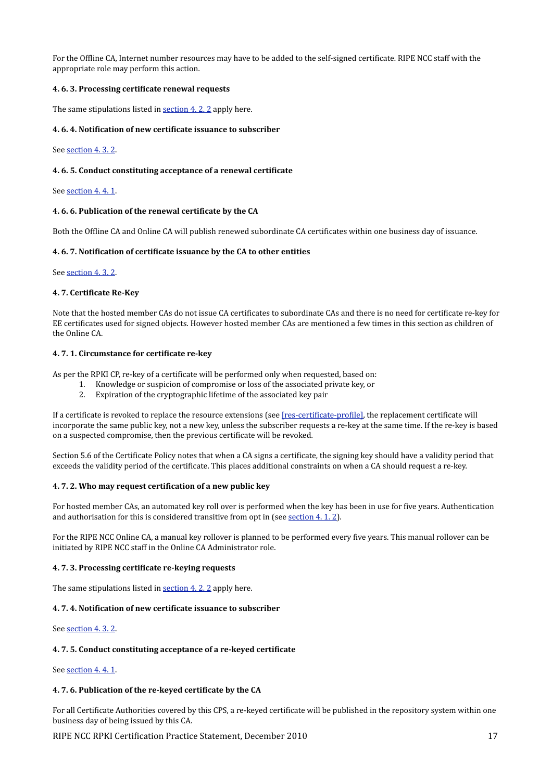For the Offline CA, Internet number resources may have to be added to the self-signed certificate. RIPE NCC staff with the appropriate
role
may
perform
this
action.

# <span id="page-17-0"></span>4.6.3. Processing certificate renewal requests

The
same
stipulations
listed
in [section
4.
2.
2](#page-15-6) apply
here.

# <span id="page-17-1"></span>4.6.4. Notification of new certificate issuance to subscriber

See section 4.3.2.

# <span id="page-17-2"></span>4, 6, 5, Conduct constituting acceptance of a renewal certificate

See section 4, 4, 1.

#### <span id="page-17-3"></span>4.6.6. Publication of the renewal certificate by the CA

Both the Offline CA and Online CA will publish renewed subordinate CA certificates within one business day of issuance.

#### <span id="page-17-4"></span>4.6.7. Notification of certificate issuance by the CA to other entities

See [section
4.
3.
2](#page-15-10).

# <span id="page-17-5"></span>4.7. Certificate Re-Kev

Note that the hosted member CAs do not issue CA certificates to subordinate CAs and there is no need for certificate re-key for EE certificates used for signed objects. However hosted member CAs are mentioned a few times in this section as children of the
Online
CA.

# <span id="page-17-6"></span>4. 7. 1. Circumstance for certificate re-key

As per the RPKI CP, re-key of a certificate will be performed only when requested, based on:

- 1. Knowledge
or
suspicion
of
compromise
or
loss
of
the
associated
private
key,
or
	- 2. Expiration
	of
	the
	cryptographic
	lifetime
	of
	the
	associated
	key
	pair

If a certificate is revoked to replace the resource extensions (see [res-certificate-profile], the replacement certificate will incorporate the same public key, not a new key, unless the subscriber requests a re-key at the same time. If the re-key is based on a suspected compromise, then the previous certificate will be revoked.

Section 5.6 of the Certificate Policy notes that when a CA signs a certificate, the signing key should have a validity period that exceeds the validity period of the certificate. This places additional constraints on when a CA should request a re-key.

# <span id="page-17-7"></span>4.7.2. Who may request certification of a new public key

For hosted member CAs, an automated key roll over is performed when the key has been in use for five years. Authentication and authorisation for this is considered transitive from opt in (see section 4, 1, 2).

For the RIPE NCC Online CA, a manual key rollover is planned to be performed every five years. This manual rollover can be initiated
by
RIPE
NCC
staff
in
the
Online
CA
Administrator
role.

#### <span id="page-17-8"></span>4.7.3. Processing certificate re-keying requests

The
same
stipulations
listed
in [section
4.
2.
2](#page-15-6) apply
here.

# <span id="page-17-9"></span>4. 7. 4. Notification of new certificate issuance to subscriber

See section 4.3.2.

# <span id="page-17-10"></span>4. 7. 5. Conduct constituting acceptance of a re-keyed certificate

See section 4.4.1.

# <span id="page-17-11"></span>4.7.6. Publication of the re-keyed certificate by the CA

For all Certificate Authorities covered by this CPS, a re-keyed certificate will be published in the repository system within one business
day
of
being
issued
by
this
CA.

RIPE NCC RPKI Certification Practice Statement, December 2010 17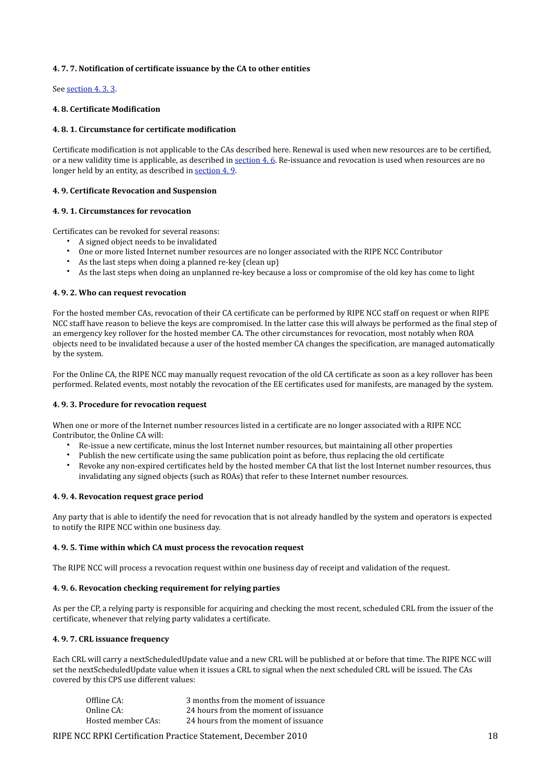# <span id="page-18-0"></span>4. 7. 7. Notification of certificate issuance by the CA to other entities

See section 4, 3, 3.

# <span id="page-18-1"></span>**4.8. Certificate Modification**

# <span id="page-18-2"></span>4, 8, 1. Circumstance for certificate modification

Certificate modification is not applicable to the CAs described here. Renewal is used when new resources are to be certified, or a new validity time is applicable, as described in section 4. 6. Re-issuance and revocation is used when resources are no longer held by an entity, as described in section 4.9.

# <span id="page-18-3"></span>**4. 9. Certificate Revocation and Suspension**

# <span id="page-18-4"></span>**4.
9.
1.
Circumstances
for
revocation**

Certificates can be revoked for several reasons:

- A
signed
object
needs
to
be
invalidated
- One or more listed Internet number resources are no longer associated with the RIPE NCC Contributor
- As the last steps when doing a planned re-key (clean up)
- As the last steps when doing an unplanned re-key because a loss or compromise of the old key has come to light

#### <span id="page-18-5"></span>**4.
9.
2.
Who
can
request
revocation**

For the hosted member CAs, revocation of their CA certificate can be performed by RIPE NCC staff on request or when RIPE NCC staff have reason to believe the keys are compromised. In the latter case this will always be performed as the final step of an
emergency
key
rollover
for
the
hosted
member
CA.
The
other
circumstances
for
revocation,
most
notably
when
ROA objects need to be invalidated because a user of the hosted member CA changes the specification, are managed automatically by
the
system.

For the Online CA, the RIPE NCC may manually request revocation of the old CA certificate as soon as a key rollover has been performed. Related events, most notably the revocation of the EE certificates used for manifests, are managed by the system.

#### <span id="page-18-6"></span>**4.
9.
3.
Procedure
for
revocation
request**

When one or more of the Internet number resources listed in a certificate are no longer associated with a RIPE NCC Contributor the Online CA will-

- Re-issue a new certificate, minus the lost Internet number resources, but maintaining all other properties
- Publish the new certificate using the same publication point as before, thus replacing the old certificate
- Revoke any non-expired certificates held by the hosted member CA that list the lost Internet number resources, thus invalidating any signed objects (such as ROAs) that refer to these Internet number resources.

#### <span id="page-18-7"></span>**4.
9.
4.
Revocation
request
grace
period**

Any party that is able to identify the need for revocation that is not already handled by the system and operators is expected to
notify
the
RIPE
NCC
within
one
business
day.

#### <span id="page-18-8"></span>**4.
9.
5.
Time
within
which
CA
must
process
the
revocation
request**

The RIPE NCC will process a revocation request within one business day of receipt and validation of the request.

#### <span id="page-18-9"></span>**4.
9.
6.
Revocation
checking
requirement
for
relying
parties**

As per the CP, a relying party is responsible for acquiring and checking the most recent, scheduled CRL from the issuer of the certificate, whenever that relying party validates a certificate.

# <span id="page-18-10"></span>**4.
9.
7.
CRL
issuance
frequency**

Each CRL will carry a nextScheduledUpdate value and a new CRL will be published at or before that time. The RIPE NCC will set the nextScheduledUpdate value when it issues a CRL to signal when the next scheduled CRL will be issued. The CAs covered
by
this
CPS
use
different
values:

| Offline CA:        | 3 months from the moment of issuance |
|--------------------|--------------------------------------|
| Online CA:         | 24 hours from the moment of issuance |
| Hosted member CAs: | 24 hours from the moment of issuance |

RIPE NCC RPKI Certification Practice Statement, December 2010 18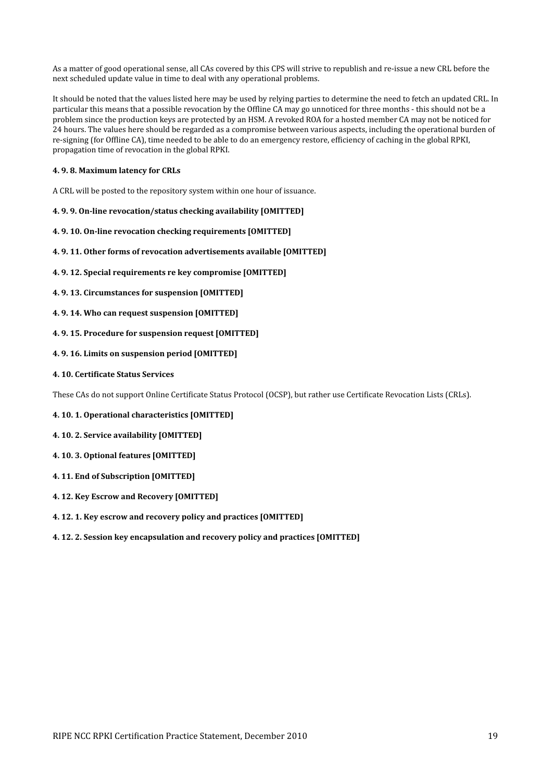As a matter of good operational sense, all CAs covered by this CPS will strive to republish and re-issue a new CRL before the next
scheduled
update
value
in
time
to
deal
with
any
operational
problems.

It should be noted that the values listed here may be used by relying parties to determine the need to fetch an updated CRL. In particular this means that a possible revocation by the Offline CA may go unnoticed for three months - this should not be a problem since the production keys are protected by an HSM. A revoked ROA for a hosted member CA may not be noticed for 24 hours. The values here should be regarded as a compromise between various aspects, including the operational burden of re-signing (for Offline CA), time needed to be able to do an emergency restore, efficiency of caching in the global RPKI. propagation
time
of
revocation
in
the
global
RPKI.

# <span id="page-19-0"></span>**4.
9.
8.
Maximum
latency
for
CRLs**

A CRL will be posted to the repository system within one hour of issuance.

- <span id="page-19-1"></span>4.9.9. On-line revocation/status checking availability [OMITTED]
- <span id="page-19-2"></span>4.9.10. On-line revocation checking requirements [OMITTED]
- <span id="page-19-3"></span>**4.
9.
11.
Other
forms
of
revocation
advertisements
available
[OMITTED]**
- <span id="page-19-4"></span>**4.
9.
12.
Special
requirements
re
key
compromise
[OMITTED]**
- <span id="page-19-5"></span>**4.
9.
13.
Circumstances
for
suspension
[OMITTED]**
- <span id="page-19-6"></span>**4.
9.
14.
Who
can
request
suspension
[OMITTED]**
- <span id="page-19-7"></span>**4.
9.
15.
Procedure
for
suspension
request
[OMITTED]**
- <span id="page-19-8"></span>**4.
9.
16.
Limits
on
suspension
period
[OMITTED]**
- <span id="page-19-9"></span>**4.10. Certificate Status Services**

These CAs do not support Online Certificate Status Protocol (OCSP), but rather use Certificate Revocation Lists (CRLs).

- <span id="page-19-10"></span>**4.
10.
1.
Operational
characteristics
[OMITTED]**
- <span id="page-19-11"></span>**4.
10.
2.
Service
availability
[OMITTED]**
- <span id="page-19-12"></span>**4.
10.
3.
Optional
features
[OMITTED]**
- <span id="page-19-13"></span>**4.
11.
End
of
Subscription
[OMITTED]**
- <span id="page-19-14"></span>**4.
12.
Key
Escrow
and
Recovery
[OMITTED]**
- <span id="page-19-15"></span>**4.
12.
1.
Key
escrow
and
recovery
policy
and
practices
[OMITTED]**
- <span id="page-19-16"></span>**4.
12.
2.
Session
key
encapsulation
and
recovery
policy
and
practices
[OMITTED]**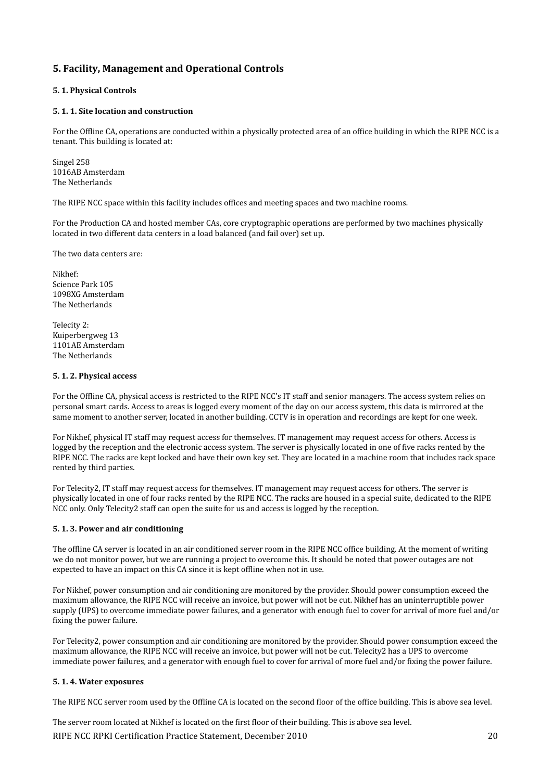# <span id="page-20-0"></span>**5.
Facility,
Management
and
Operational
Controls**

# <span id="page-20-1"></span>**5.
1.
Physical
Controls**

# <span id="page-20-2"></span>**5.
1.
1.
Site
location
and
construction**

For the Offline CA, operations are conducted within a physically protected area of an office building in which the RIPE NCC is a tenant.
This
building
is
located
at:

Singel
258 1016AB
Amsterdam The
Netherlands

The RIPE NCC space within this facility includes offices and meeting spaces and two machine rooms.

For the Production CA and hosted member CAs, core cryptographic operations are performed by two machines physically located in two different data centers in a load balanced (and fail over) set up.

The two data centers are:

Nikhef: Science
Park
105 1098XG
Amsterdam The
Netherlands

Telecity
2: Kuiperbergweg
13 1101AE
Amsterdam The
Netherlands

# <span id="page-20-3"></span>**5.
1.
2.
Physical
access**

For the Offline CA, physical access is restricted to the RIPE NCC's IT staff and senior managers. The access system relies on personal smart cards. Access to areas is logged every moment of the day on our access system, this data is mirrored at the same moment to another server, located in another building. CCTV is in operation and recordings are kept for one week.

For Nikhef, physical IT staff may request access for themselves. IT management may request access for others. Access is logged by the reception and the electronic access system. The server is physically located in one of five racks rented by the RIPE NCC. The racks are kept locked and have their own key set. They are located in a machine room that includes rack space rented
by
third
parties.

For Telecity2, IT staff may request access for themselves. IT management may request access for others. The server is physically located in one of four racks rented by the RIPE NCC. The racks are housed in a special suite, dedicated to the RIPE NCC only. Only Telecity2 staff can open the suite for us and access is logged by the reception.

# <span id="page-20-4"></span>**5.
1.
3.
Power
and
air
conditioning**

The offline CA server is located in an air conditioned server room in the RIPE NCC office building. At the moment of writing we do not monitor power, but we are running a project to overcome this. It should be noted that power outages are not expected to have an impact on this CA since it is kept offline when not in use.

For Nikhef, power consumption and air conditioning are monitored by the provider. Should power consumption exceed the maximum allowance, the RIPE NCC will receive an invoice, but power will not be cut. Nikhef has an uninterruptible power supply (UPS) to overcome immediate power failures, and a generator with enough fuel to cover for arrival of more fuel and/or fixing the power failure.

For Telecity2, power consumption and air conditioning are monitored by the provider. Should power consumption exceed the maximum allowance, the RIPE NCC will receive an invoice, but power will not be cut. Telecity2 has a UPS to overcome immediate power failures, and a generator with enough fuel to cover for arrival of more fuel and/or fixing the power failure.

# <span id="page-20-5"></span>**5.
1.
4.
Water
exposures**

The RIPE NCC server room used by the Offline CA is located on the second floor of the office building. This is above sea level.

The server room located at Nikhef is located on the first floor of their building. This is above sea level. RIPE NCC RPKI Certification Practice Statement, December 2010 **2010** 20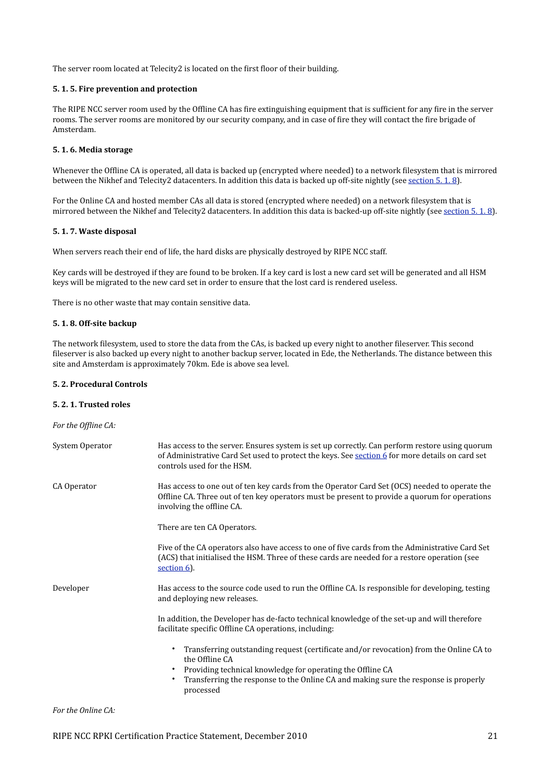The server room located at Telecity2 is located on the first floor of their building.

# <span id="page-21-0"></span>**5.
1.
5.
Fire
prevention
and
protection**

The RIPE NCC server room used by the Offline CA has fire extinguishing equipment that is sufficient for any fire in the server rooms. The server rooms are monitored by our security company, and in case of fire they will contact the fire brigade of Amsterdam.

# <span id="page-21-1"></span>**5.
1.
6.
Media
storage**

Whenever the Offline CA is operated, all data is backed up (encrypted where needed) to a network filesystem that is mirrored between the Nikhef and Telecity2 datacenters. In addition this data is backed up off-site nightly (see section 5, 1, 8).

For the Online CA and hosted member CAs all data is stored (encrypted where needed) on a network filesystem that is mirrored between the Nikhef and Telecity2 datacenters. In addition this data is backed-up off-site nightly (see section 5. 1. 8).

# <span id="page-21-2"></span>**5.
1.
7.
Waste
disposal**

When servers reach their end of life, the hard disks are physically destroyed by RIPE NCC staff.

Key cards will be destroyed if they are found to be broken. If a key card is lost a new card set will be generated and all HSM keys will be migrated to the new card set in order to ensure that the lost card is rendered useless.

There
is
no
other
waste
that
may
contain
sensitive
data.

# <span id="page-21-3"></span>**5. 1. 8. Off-site backup**

The network filesystem, used to store the data from the CAs, is backed up every night to another fileserver. This second fileserver is also backed up every night to another backup server, located in Ede, the Netherlands. The distance between this site
and
Amsterdam
is
approximately
70km.
Ede
is
above
sea
level.

# <span id="page-21-4"></span>**5.
2.
Procedural
Controls**

# <span id="page-21-5"></span>**5.
2.
1.
Trusted
roles**

For the Offline CA: System Operator Has access to the server. Ensures system is set up correctly. Can perform restore using quorum of Administrative Card Set used to protect the keys. See section 6 for more details on card set controls
used
for
the
HSM. CA Operator Has access to one out of ten key cards from the Operator Card Set (OCS) needed to operate the Offline CA. Three out of ten key operators must be present to provide a quorum for operations involving the offline CA. There
are
ten
CA
Operators. Five of the CA operators also have access to one of five cards from the Administrative Card Set (ACS)
that
initialised
the
HSM.
Three
of
these
cards
are
needed
for
a
restore
operation
(see section 6). Developer Has access to the source code used to run the Offline CA. Is responsible for developing, testing and
deploying
new
releases. In addition, the Developer has de-facto technical knowledge of the set-up and will therefore facilitate specific Offline CA operations, including: • Transferring outstanding request (certificate and/or revocation) from the Online CA to the Offline CA Providing technical knowledge for operating the Offline CA Transferring the response to the Online CA and making sure the response is properly processed

*For
the
Online
CA:*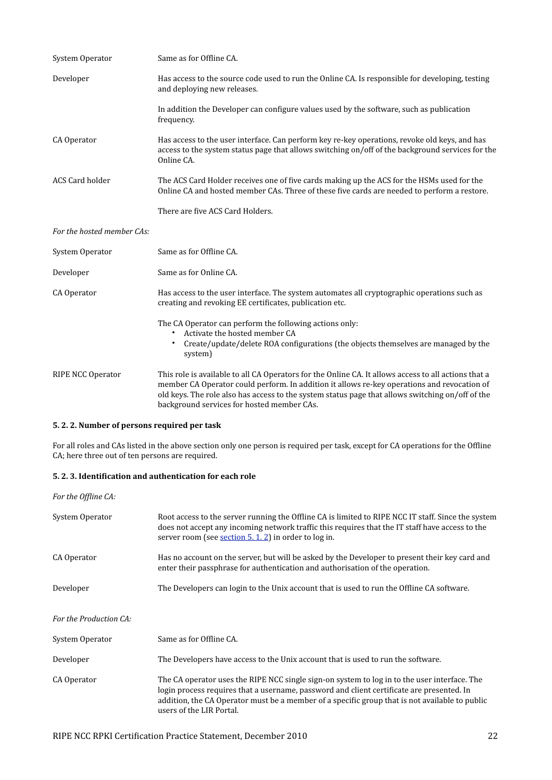| System Operator            | Same as for Offline CA.                                                                                                                                                                                                                                                                                                                               |
|----------------------------|-------------------------------------------------------------------------------------------------------------------------------------------------------------------------------------------------------------------------------------------------------------------------------------------------------------------------------------------------------|
| Developer                  | Has access to the source code used to run the Online CA. Is responsible for developing, testing<br>and deploying new releases.                                                                                                                                                                                                                        |
|                            | In addition the Developer can configure values used by the software, such as publication<br>frequency.                                                                                                                                                                                                                                                |
| CA Operator                | Has access to the user interface. Can perform key re-key operations, revoke old keys, and has<br>access to the system status page that allows switching on/off of the background services for the<br>Online CA.                                                                                                                                       |
| <b>ACS Card holder</b>     | The ACS Card Holder receives one of five cards making up the ACS for the HSMs used for the<br>Online CA and hosted member CAs. Three of these five cards are needed to perform a restore.                                                                                                                                                             |
|                            | There are five ACS Card Holders.                                                                                                                                                                                                                                                                                                                      |
| For the hosted member CAs: |                                                                                                                                                                                                                                                                                                                                                       |
| System Operator            | Same as for Offline CA.                                                                                                                                                                                                                                                                                                                               |
| Developer                  | Same as for Online CA.                                                                                                                                                                                                                                                                                                                                |
| CA Operator                | Has access to the user interface. The system automates all cryptographic operations such as<br>creating and revoking EE certificates, publication etc.                                                                                                                                                                                                |
|                            | The CA Operator can perform the following actions only:<br>Activate the hosted member CA<br>Create/update/delete ROA configurations (the objects themselves are managed by the<br>system)                                                                                                                                                             |
| RIPE NCC Operator          | This role is available to all CA Operators for the Online CA. It allows access to all actions that a<br>member CA Operator could perform. In addition it allows re-key operations and revocation of<br>old keys. The role also has access to the system status page that allows switching on/off of the<br>background services for hosted member CAs. |

# <span id="page-22-0"></span>**5.
2.
2.
Number
of
persons
required
per
task**

For all roles and CAs listed in the above section only one person is required per task, except for CA operations for the Offline CA;
here
three
out
of
ten
persons
are
required.

# <span id="page-22-1"></span>5. 2. 3. Identification and authentication for each role

| For the Offline CA:    |                                                                                                                                                                                                                                                                                                                         |
|------------------------|-------------------------------------------------------------------------------------------------------------------------------------------------------------------------------------------------------------------------------------------------------------------------------------------------------------------------|
| System Operator        | Root access to the server running the Offline CA is limited to RIPE NCC IT staff. Since the system<br>does not accept any incoming network traffic this requires that the IT staff have access to the<br>server room (see section 5.1.2) in order to log in.                                                            |
| CA Operator            | Has no account on the server, but will be asked by the Developer to present their key card and<br>enter their passphrase for authentication and authorisation of the operation.                                                                                                                                         |
| Developer              | The Developers can login to the Unix account that is used to run the Offline CA software.                                                                                                                                                                                                                               |
| For the Production CA: |                                                                                                                                                                                                                                                                                                                         |
| System Operator        | Same as for Offline CA.                                                                                                                                                                                                                                                                                                 |
| Developer              | The Developers have access to the Unix account that is used to run the software.                                                                                                                                                                                                                                        |
| CA Operator            | The CA operator uses the RIPE NCC single sign-on system to log in to the user interface. The<br>login process requires that a username, password and client certificate are presented. In<br>addition, the CA Operator must be a member of a specific group that is not available to public<br>users of the LIR Portal. |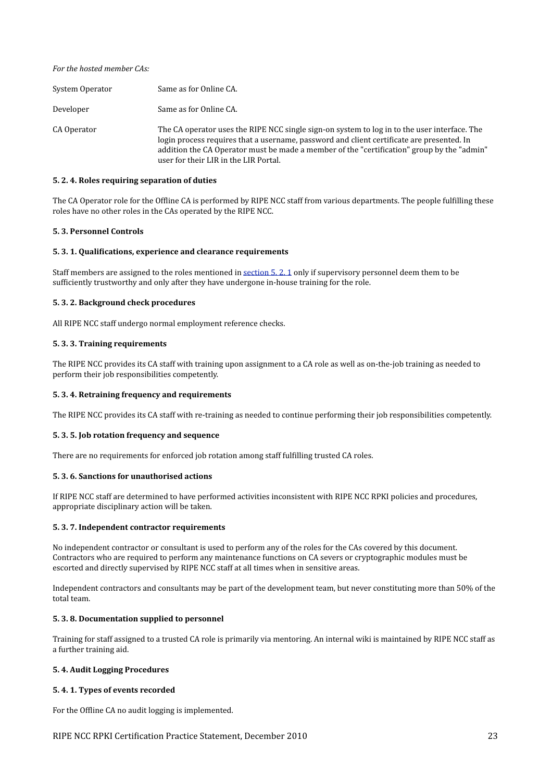*For
the
hosted
member
CAs:*

| System Operator | Same as for Online CA.                                                                                                                                                                                                                                                                                                           |
|-----------------|----------------------------------------------------------------------------------------------------------------------------------------------------------------------------------------------------------------------------------------------------------------------------------------------------------------------------------|
| Developer       | Same as for Online CA.                                                                                                                                                                                                                                                                                                           |
| CA Operator     | The CA operator uses the RIPE NCC single sign-on system to log in to the user interface. The<br>login process requires that a username, password and client certificate are presented. In<br>addition the CA Operator must be made a member of the "certification" group by the "admin"<br>user for their LIR in the LIR Portal. |

#### <span id="page-23-0"></span>**5.
2.
4.
Roles
requiring
separation
of
duties**

The CA Operator role for the Offline CA is performed by RIPE NCC staff from various departments. The people fulfilling these roles have no other roles in the CAs operated by the RIPE NCC.

#### <span id="page-23-1"></span>**5.
3.
Personnel
Controls**

#### <span id="page-23-2"></span>**5. 3. 1. Qualifications, experience and clearance requirements**

Staff members are assigned to the roles mentioned in section 5. 2. 1 only if supervisory personnel deem them to be sufficiently trustworthy and only after they have undergone in-house training for the role.

#### <span id="page-23-3"></span>**5.
3.
2.
Background
check
procedures**

All
RIPE
NCC
staff
undergo
normal
employment
reference
checks.

#### <span id="page-23-4"></span>**5.
3.
3.
Training
requirements**

The RIPE NCC provides its CA staff with training upon assignment to a CA role as well as on-the-job training as needed to perform
their
job
responsibilities
competently.

# <span id="page-23-5"></span>**5.
3.
4.
Retraining
frequency
and
requirements**

The RIPE NCC provides its CA staff with re-training as needed to continue performing their job responsibilities competently.

# <span id="page-23-6"></span>**5.
3.
5.
Job
rotation
frequency
and
sequence**

There are no requirements for enforced job rotation among staff fulfilling trusted CA roles.

# <span id="page-23-7"></span>**5.
3.
6.
Sanctions
for
unauthorised
actions**

If RIPE NCC staff are determined to have performed activities inconsistent with RIPE NCC RPKI policies and procedures, appropriate
disciplinary
action
will
be
taken.

#### <span id="page-23-8"></span>**5.
3.
7.
Independent
contractor
requirements**

No independent contractor or consultant is used to perform any of the roles for the CAs covered by this document. Contractors who are required to perform any maintenance functions on CA severs or cryptographic modules must be escorted
and
directly
supervised
by
RIPE
NCC
staff
at
all
times
when
in
sensitive
areas.

Independent contractors and consultants may be part of the development team, but never constituting more than 50% of the total
team.

#### <span id="page-23-9"></span>**5.
3.
8.
Documentation
supplied
to
personnel**

Training for staff assigned to a trusted CA role is primarily via mentoring. An internal wiki is maintained by RIPE NCC staff as a
further
training
aid.

#### <span id="page-23-10"></span>**5.
4.
Audit
Logging
Procedures**

# <span id="page-23-11"></span>**5.
4.
1.
Types
of
events
recorded**

For the Offline CA no audit logging is implemented.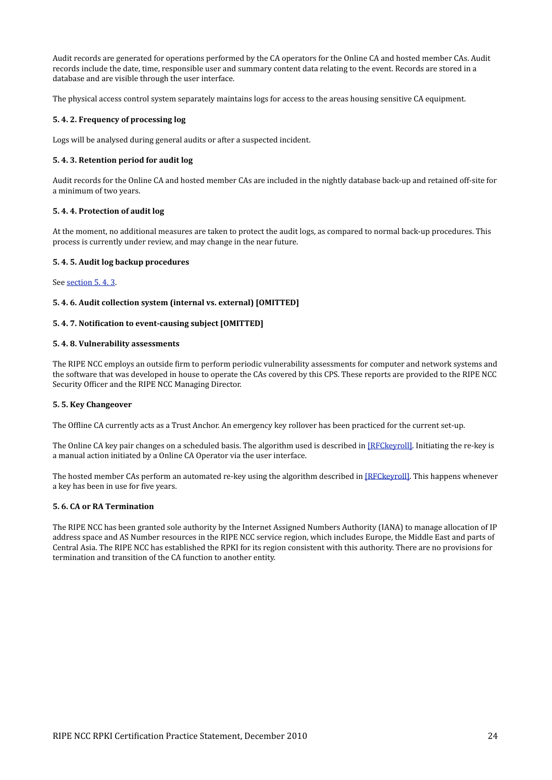Audit records are generated for operations performed by the CA operators for the Online CA and hosted member CAs. Audit records include the date, time, responsible user and summary content data relating to the event. Records are stored in a database
and
are
visible
through
the
user
interface.

The
physical
access
control
system
separately
maintains
logs
for
access
to
the
areas
housing
sensitive
CA
equipment.

# <span id="page-24-0"></span>**5.
4.
2.
Frequency
of
processing
log**

Logs
will
be
analysed
during
general
audits
or
after
a
suspected
incident.

# <span id="page-24-1"></span>**5.
4.
3.
Retention
period
for
audit
log**

Audit records for the Online CA and hosted member CAs are included in the nightly database back-up and retained off-site for a
minimum
of
two
years.

# <span id="page-24-2"></span>**5.
4.
4.
Protection
of
audit
log**

At the moment, no additional measures are taken to protect the audit logs, as compared to normal back-up procedures. This process
is
currently
under
review,
and
may
change
in
the
near
future.

# <span id="page-24-3"></span>**5.
4.
5.
Audit
log
backup
procedures**

See section 5, 4, 3.

# <span id="page-24-4"></span>**5.
4.
6.
Audit
collection
system
(internal
vs.
external)
[OMITTED]**

# <span id="page-24-5"></span>5.4.7. Notification to event-causing subject [OMITTED]

# <span id="page-24-6"></span>**5.
4.
8.
Vulnerability
assessments**

The RIPE NCC employs an outside firm to perform periodic vulnerability assessments for computer and network systems and the software that was developed in house to operate the CAs covered by this CPS. These reports are provided to the RIPE NCC Security Officer and the RIPE NCC Managing Director.

# <span id="page-24-7"></span>**5.
5.
Key
Changeover**

The Offline CA currently acts as a Trust Anchor. An emergency key rollover has been practiced for the current set-up.

The Online CA key pair changes on a scheduled basis. The algorithm used is described in [RFCkeyroll]. Initiating the re-key is a
manual
action
initiated
by
a
Online
CA
Operator
via
the
user
interface.

The hosted member CAs perform an automated re-key using the algorithm described in [RFCkeyroll]. This happens whenever a key has been in use for five years.

# <span id="page-24-8"></span>**5.
6.
CA
or
RA
Termination**

The RIPE NCC has been granted sole authority by the Internet Assigned Numbers Authority (IANA) to manage allocation of IP address space and AS Number resources in the RIPE NCC service region, which includes Europe, the Middle East and parts of Central Asia. The RIPE NCC has established the RPKI for its region consistent with this authority. There are no provisions for termination and transition of the CA function to another entity.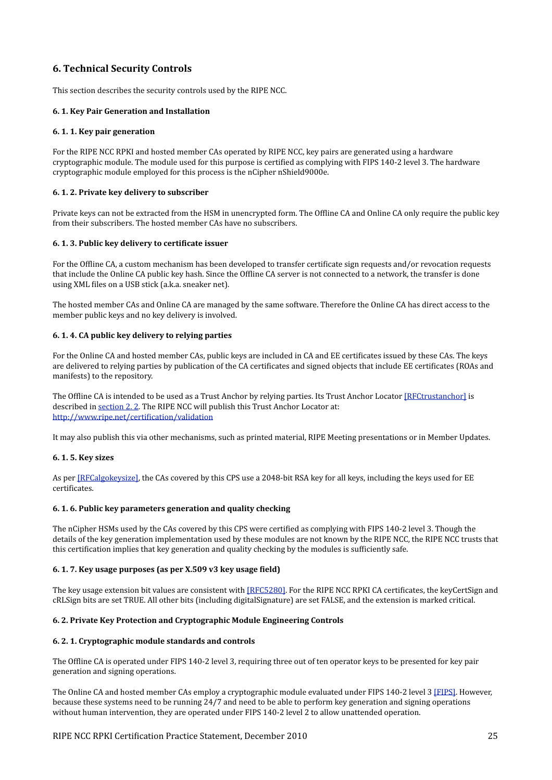# <span id="page-25-0"></span>**6.
Technical
Security
Controls**

This
section
describes
the
security
controls
used
by
the
RIPE
NCC.

# <span id="page-25-1"></span>**6.
1.
Key
Pair
Generation
and
Installation**

# <span id="page-25-2"></span>**6.
1.
1.
Key
pair
generation**

For the RIPE NCC RPKI and hosted member CAs operated by RIPE NCC, key pairs are generated using a hardware cryptographic module. The module used for this purpose is certified as complying with FIPS 140-2 level 3. The hardware cryptographic
module
employed
for
this
process
is
the
nCipher
nShield9000e.

# <span id="page-25-3"></span>**6.
1.
2.
Private
key
delivery
to
subscriber**

Private keys can not be extracted from the HSM in unencrypted form. The Offline CA and Online CA only require the public key from
their
subscribers.
The
hosted
member
CAs
have
no
subscribers.

# <span id="page-25-4"></span>6. 1. 3. Public key delivery to certificate issuer

For the Offline CA, a custom mechanism has been developed to transfer certificate sign requests and/or revocation requests that include the Online CA public key hash. Since the Offline CA server is not connected to a network, the transfer is done using XML files on a USB stick (a.k.a. sneaker net).

The hosted member CAs and Online CA are managed by the same software. Therefore the Online CA has direct access to the member
public
keys
and
no
key
delivery
is
involved.

# <span id="page-25-5"></span>**6.
1.
4.
CA
public
key
delivery
to
relying
parties**

For the Online CA and hosted member CAs, public keys are included in CA and EE certificates issued by these CAs. The keys are delivered to relying parties by publication of the CA certificates and signed objects that include EE certificates (ROAs and manifests)
to
the
repository.

The Offline CA is intended to be used as a Trust Anchor by relying parties. Its Trust Anchor Locator [RFCtrustanchor] is described in section 2.2. The RIPE NCC will publish this Trust Anchor Locator at: http://www.ripe.net/certification/validation

It may also publish this via other mechanisms, such as printed material, RIPE Meeting presentations or in Member Updates.

# <span id="page-25-6"></span>**6.
1.
5.
Key
sizes**

As per [RFCalgokeysize], the CAs covered by this CPS use a 2048-bit RSA key for all keys, including the keys used for EE certificates

# <span id="page-25-7"></span>**6.
1.
6.
Public
key
parameters
generation
and
quality
checking**

The nCipher HSMs used by the CAs covered by this CPS were certified as complying with FIPS 140-2 level 3. Though the details of the key generation implementation used by these modules are not known by the RIPE NCC, the RIPE NCC trusts that this certification implies that key generation and quality checking by the modules is sufficiently safe.

# <span id="page-25-8"></span>6. 1. 7. Key usage purposes (as per X.509 v3 key usage field)

The key usage extension bit values are consistent with [RFC5280]. For the RIPE NCC RPKI CA certificates, the keyCertSign and cRLSign
bits
are
set
TRUE.
All
other
bits
(including
digitalSignature)
are
set
FALSE,
and
the
extension
is
marked
critical.

# <span id="page-25-9"></span>**6.
2.
Private
Key
Protection
and
Cryptographic
Module
Engineering
Controls**

# <span id="page-25-10"></span>**6.
2.
1.
Cryptographic
module
standards
and
controls**

The Offline CA is operated under FIPS 140-2 level 3, requiring three out of ten operator keys to be presented for key pair generation
and
signing
operations.

The Online CA and hosted member CAs employ a cryptographic module evaluated under FIPS 140-2 level 3 [\[FIPS\]](#page-31-13). However, because these systems need to be running 24/7 and need to be able to perform key generation and signing operations without human intervention, they are operated under FIPS 140-2 level 2 to allow unattended operation.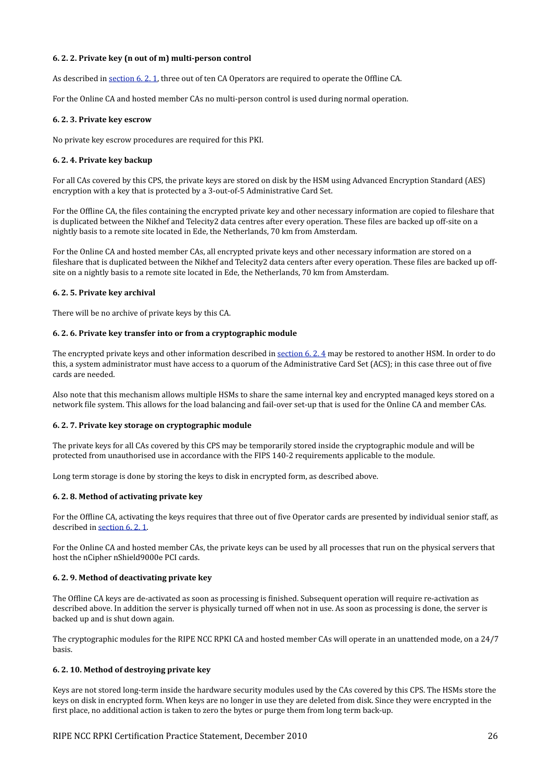# <span id="page-26-0"></span>6.2. 2. Private key (n out of m) multi-person control

As described in section 6, 2, 1, three out of ten CA Operators are required to operate the Offline CA.

For the Online CA and hosted member CAs no multi-person control is used during normal operation.

# <span id="page-26-1"></span>**6.
2.
3.
Private
key
escrow**

No private key escrow procedures are required for this PKI.

# <span id="page-26-2"></span>**6.
2.
4.
Private
key
backup**

For all CAs covered by this CPS, the private keys are stored on disk by the HSM using Advanced Encryption Standard (AES) encryption with a key that is protected by a 3-out-of-5 Administrative Card Set.

For the Offline CA, the files containing the encrypted private key and other necessary information are copied to fileshare that is duplicated between the Nikhef and Telecity2 data centres after every operation. These files are backed up off-site on a nightly
basis
to
a
remote
site
located
in
Ede,
the
Netherlands,
70
km
from
Amsterdam.

For the Online CA and hosted member CAs, all encrypted private keys and other necessary information are stored on a fileshare that is duplicated between the Nikhef and Telecity2 data centers after every operation. These files are backed up offsite on a nightly basis to a remote site located in Ede, the Netherlands, 70 km from Amsterdam.

# <span id="page-26-3"></span>**6.
2.
5.
Private
key
archival**

There
will
be
no
archive
of
private
keys
by
this
CA.

# <span id="page-26-4"></span>**6.
2.
6.
Private
key
transfer
into
or
from
a
cryptographic
module**

The encrypted private keys and other information described in section 6, 2, 4 may be restored to another HSM. In order to do this, a system administrator must have access to a quorum of the Administrative Card Set (ACS); in this case three out of five cards
are
needed.

Also note that this mechanism allows multiple HSMs to share the same internal key and encrypted managed keys stored on a network file system. This allows for the load balancing and fail-over set-up that is used for the Online CA and member CAs.

# <span id="page-26-5"></span>**6.
2.
7.
Private
key
storage
on
cryptographic
module**

The private keys for all CAs covered by this CPS may be temporarily stored inside the cryptographic module and will be protected from unauthorised use in accordance with the FIPS 140-2 requirements applicable to the module.

Long term storage is done by storing the keys to disk in encrypted form, as described above.

# <span id="page-26-6"></span>**6.
2.
8.
Method
of
activating
private
key**

For the Offline CA, activating the keys requires that three out of five Operator cards are presented by individual senior staff, as described in section 6, 2, 1.

For the Online CA and hosted member CAs, the private keys can be used by all processes that run on the physical servers that host
the
nCipher
nShield9000e
PCI
cards.

# <span id="page-26-7"></span>**6.
2.
9.
Method
of
deactivating
private
key**

The Offline CA keys are de-activated as soon as processing is finished. Subsequent operation will require re-activation as described above. In addition the server is physically turned off when not in use. As soon as processing is done, the server is backed
up
and
is
shut
down
again.

The cryptographic modules for the RIPE NCC RPKI CA and hosted member CAs will operate in an unattended mode, on a 24/7 basis.

# <span id="page-26-8"></span>**6.
2.
10.
Method
of
destroying
private
key**

Keys are not stored long-term inside the hardware security modules used by the CAs covered by this CPS. The HSMs store the keys on disk in encrypted form. When keys are no longer in use they are deleted from disk. Since they were encrypted in the first place, no additional action is taken to zero the bytes or purge them from long term back-up.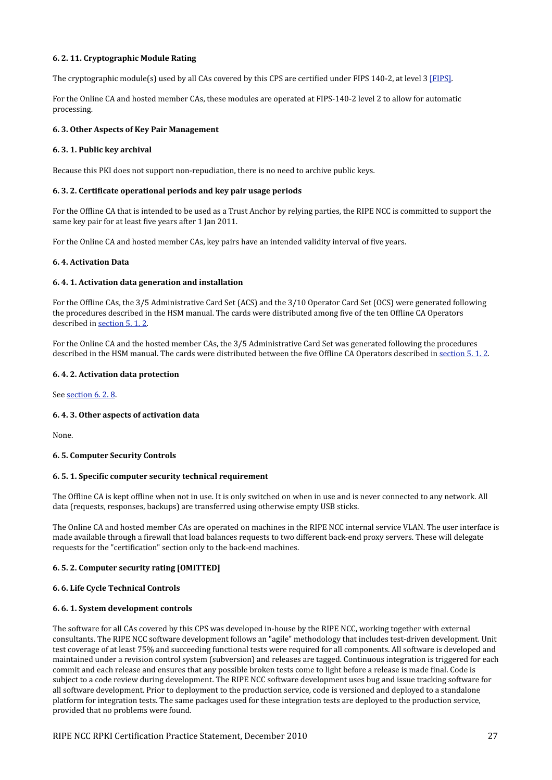# <span id="page-27-0"></span>**6.
2.
11.
Cryptographic
Module
Rating**

The cryptographic module(s) used by all CAs covered by this CPS are certified under FIPS 140-2, at level 3 [\[FIPS\].](#page-31-13)

For the Online CA and hosted member CAs, these modules are operated at FIPS-140-2 level 2 to allow for automatic processing.

# <span id="page-27-1"></span>**6.
3.
Other
Aspects
of
Key
Pair
Management**

# <span id="page-27-2"></span>**6.
3.
1.
Public
key
archival**

Because this PKI does not support non-repudiation, there is no need to archive public keys.

#### <span id="page-27-3"></span>6. 3. 2. Certificate operational periods and key pair usage periods

For the Offline CA that is intended to be used as a Trust Anchor by relying parties, the RIPE NCC is committed to support the same key pair for at least five years after 1 Jan 2011.

For the Online CA and hosted member CAs, key pairs have an intended validity interval of five years.

#### <span id="page-27-4"></span>**6.
4.
Activation
Data**

#### <span id="page-27-5"></span>**6.
4.
1.
Activation
data
generation
and
installation**

For the Offline CAs, the 3/5 Administrative Card Set (ACS) and the 3/10 Operator Card Set (OCS) were generated following the procedures described in the HSM manual. The cards were distributed among five of the ten Offline CA Operators described
in [section
5.
1.
2](#page-20-3).

For the Online CA and the hosted member CAs, the 3/5 Administrative Card Set was generated following the procedures described in the HSM manual. The cards were distributed between the five Offline CA Operators described in section 5, 1, 2.

# <span id="page-27-6"></span>**6.
4.
2.
Activation
data
protection**

See section 6, 2, 8.

# <span id="page-27-7"></span>**6.
4.
3.
Other
aspects
of
activation
data**

None.

#### <span id="page-27-8"></span>**6.
5.
Computer
Security
Controls**

# <span id="page-27-9"></span>6. 5. 1. Specific computer security technical requirement

The Offline CA is kept offline when not in use. It is only switched on when in use and is never connected to any network. All data
(requests,
responses,
backups)
are
transferred
using
otherwise
empty
USB
sticks.

The Online CA and hosted member CAs are operated on machines in the RIPE NCC internal service VLAN. The user interface is made available through a firewall that load balances requests to two different back-end proxy servers. These will delegate requests for the "certification" section only to the back-end machines.

# <span id="page-27-10"></span>**6.
5.
2.
Computer
security
rating
[OMITTED]**

# <span id="page-27-11"></span>**6.
6.
Life
Cycle
Technical
Controls**

# <span id="page-27-12"></span>**6.
6.
1.
System
development
controls**

The software for all CAs covered by this CPS was developed in-house by the RIPE NCC, working together with external consultants. The RIPE NCC software development follows an "agile" methodology that includes test-driven development. Unit test coverage of at least 75% and succeeding functional tests were required for all components. All software is developed and maintained under a revision control system (subversion) and releases are tagged. Continuous integration is triggered for each commit and each release and ensures that any possible broken tests come to light before a release is made final. Code is subject to a code review during development. The RIPE NCC software development uses bug and issue tracking software for all software development. Prior to deployment to the production service, code is versioned and deployed to a standalone platform
for
integration
tests.
The
same
packages
used
for
these
integration
tests
are
deployed
to
the
production
service, provided
that
no
problems
were
found.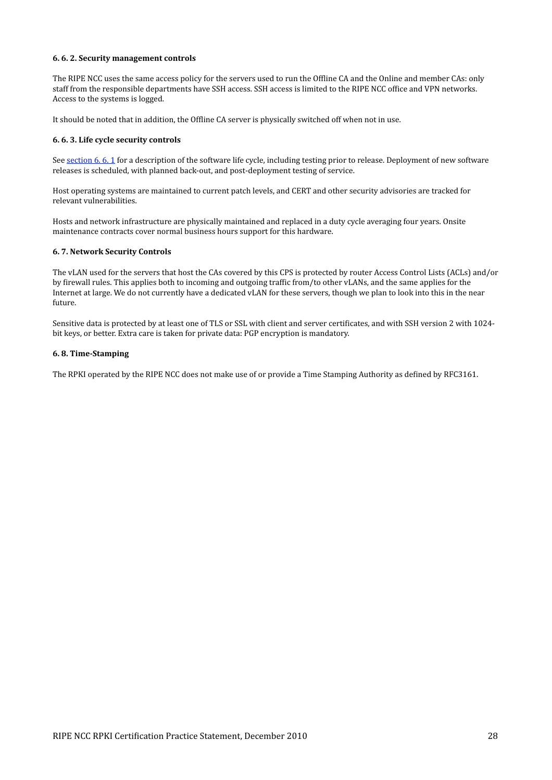# <span id="page-28-0"></span>**6.
6.
2.
Security
management
controls**

The RIPE NCC uses the same access policy for the servers used to run the Offline CA and the Online and member CAs: only staff from the responsible departments have SSH access. SSH access is limited to the RIPE NCC office and VPN networks. Access
to
the
systems
is
logged.

It should be noted that in addition, the Offline CA server is physically switched off when not in use.

#### <span id="page-28-1"></span>**6.
6.
3.
Life
cycle
security
controls**

See section 6. 6. 1 for a description of the software life cycle, including testing prior to release. Deployment of new software releases is scheduled, with planned back-out, and post-deployment testing of service.

Host operating systems are maintained to current patch levels, and CERT and other security advisories are tracked for relevant
vulnerabilities.

Hosts and network infrastructure are physically maintained and replaced in a duty cycle averaging four years. Onsite maintenance
contracts
cover
normal
business
hours
support
for
this
hardware.

#### <span id="page-28-2"></span>**6.
7.
Network
Security
Controls**

The vLAN used for the servers that host the CAs covered by this CPS is protected by router Access Control Lists (ACLs) and/or by firewall rules. This applies both to incoming and outgoing traffic from/to other vLANs, and the same applies for the Internet at large. We do not currently have a dedicated vLAN for these servers, though we plan to look into this in the near future.

Sensitive data is protected by at least one of TLS or SSL with client and server certificates, and with SSH version 2 with 1024bit keys, or better. Extra care is taken for private data: PGP encryption is mandatory.

#### <span id="page-28-3"></span>**6.8. Time-Stamping**

The RPKI operated by the RIPE NCC does not make use of or provide a Time Stamping Authority as defined by RFC3161.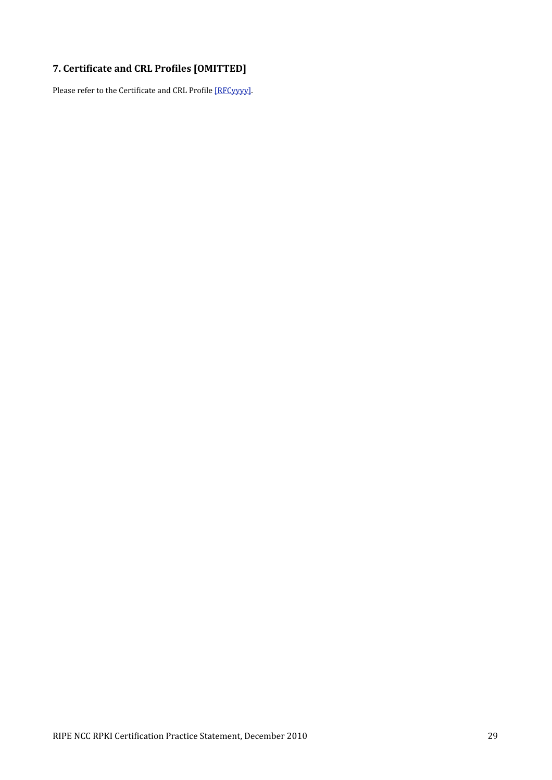# <span id="page-29-0"></span>7. Certificate and CRL Profiles [OMITTED]

Please refer to the Certificate and CRL Profile [RFCyyyy].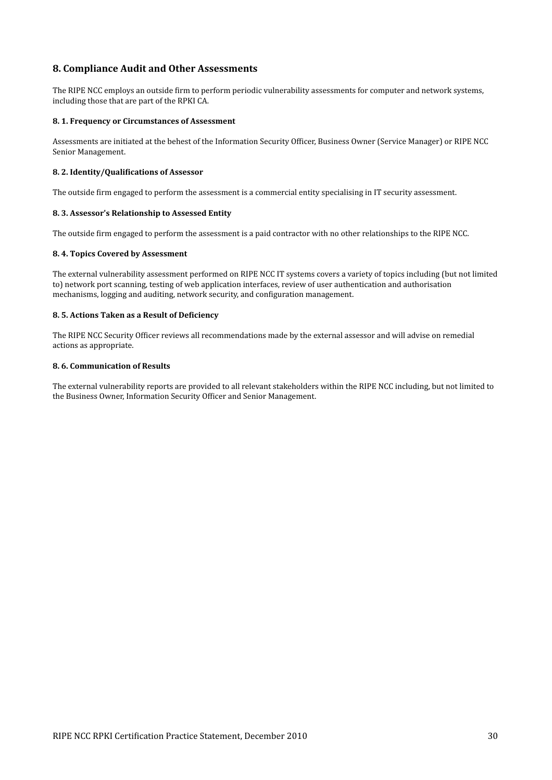# <span id="page-30-0"></span>**8.
Compliance
Audit
and
Other
Assessments**

The RIPE NCC employs an outside firm to perform periodic vulnerability assessments for computer and network systems, including
those
that
are
part
of
the
RPKI
CA.

# <span id="page-30-1"></span>**8.
1.
Frequency
or
Circumstances
of
Assessment**

Assessments are initiated at the behest of the Information Security Officer, Business Owner (Service Manager) or RIPE NCC Senior
Management.

# <span id="page-30-2"></span>8.2. Identity/Qualifications of Assessor

The outside firm engaged to perform the assessment is a commercial entity specialising in IT security assessment.

# <span id="page-30-3"></span>**8.
3.
Assessor's
Relationship
to
Assessed
Entity**

The outside firm engaged to perform the assessment is a paid contractor with no other relationships to the RIPE NCC.

# <span id="page-30-4"></span>**8.
4.
Topics
Covered
by
Assessment**

The external vulnerability assessment performed on RIPE NCC IT systems covers a variety of topics including (but not limited to) network port scanning, testing of web application interfaces, review of user authentication and authorisation mechanisms, logging and auditing, network security, and configuration management.

# <span id="page-30-5"></span>8.5. Actions Taken as a Result of Deficiency

The RIPE NCC Security Officer reviews all recommendations made by the external assessor and will advise on remedial actions
as
appropriate.

# <span id="page-30-6"></span>**8.
6.
Communication
of
Results**

The external vulnerability reports are provided to all relevant stakeholders within the RIPE NCC including, but not limited to the Business Owner, Information Security Officer and Senior Management.